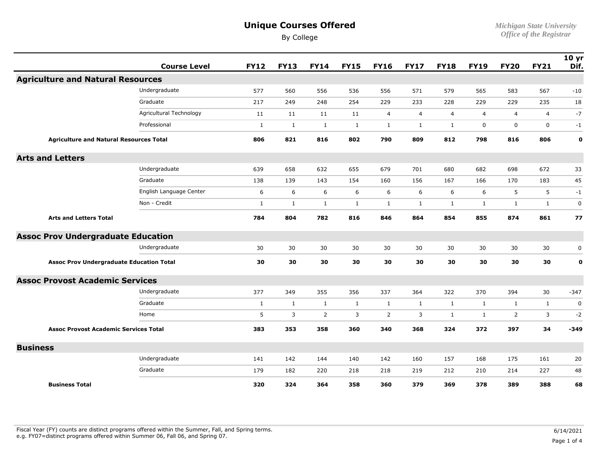By College

*Michigan State University Office of the Registrar* 

|                                                 | <b>Course Level</b>     | <b>FY12</b>  | <b>FY13</b>  | <b>FY14</b>    | <b>FY15</b>  | <b>FY16</b>    | <b>FY17</b>    | <b>FY18</b>    | <b>FY19</b>    | <b>FY20</b>    | <b>FY21</b>    | 10 <sub>yr</sub><br>Dif. |
|-------------------------------------------------|-------------------------|--------------|--------------|----------------|--------------|----------------|----------------|----------------|----------------|----------------|----------------|--------------------------|
| <b>Agriculture and Natural Resources</b>        |                         |              |              |                |              |                |                |                |                |                |                |                          |
|                                                 | Undergraduate           | 577          | 560          | 556            | 536          | 556            | 571            | 579            | 565            | 583            | 567            | $-10$                    |
|                                                 | Graduate                | 217          | 249          | 248            | 254          | 229            | 233            | 228            | 229            | 229            | 235            | 18                       |
|                                                 | Agricultural Technology | 11           | 11           | 11             | 11           | $\overline{4}$ | $\overline{4}$ | $\overline{4}$ | $\overline{4}$ | $\overline{4}$ | $\overline{4}$ | $-7$                     |
|                                                 | Professional            | $\mathbf{1}$ | $\mathbf{1}$ | $\mathbf{1}$   | $\mathbf{1}$ | $\mathbf{1}$   | $\mathbf{1}$   | $\mathbf{1}$   | $\mathbf 0$    | $\mathbf 0$    | $\mathbf 0$    | $-1$                     |
| <b>Agriculture and Natural Resources Total</b>  |                         | 806          | 821          | 816            | 802          | 790            | 809            | 812            | 798            | 816            | 806            | $\mathbf 0$              |
| <b>Arts and Letters</b>                         |                         |              |              |                |              |                |                |                |                |                |                |                          |
|                                                 | Undergraduate           | 639          | 658          | 632            | 655          | 679            | 701            | 680            | 682            | 698            | 672            | 33                       |
|                                                 | Graduate                | 138          | 139          | 143            | 154          | 160            | 156            | 167            | 166            | 170            | 183            | 45                       |
|                                                 | English Language Center | 6            | 6            | 6              | 6            | 6              | 6              | 6              | 6              | 5              | 5              | $-1$                     |
|                                                 | Non - Credit            | $\mathbf{1}$ | 1            | $\mathbf{1}$   | $\mathbf{1}$ | $\mathbf{1}$   | $\mathbf{1}$   | $\mathbf{1}$   | $\mathbf{1}$   | 1              | $\mathbf{1}$   | $\mathbf 0$              |
| <b>Arts and Letters Total</b>                   |                         | 784          | 804          | 782            | 816          | 846            | 864            | 854            | 855            | 874            | 861            | 77                       |
| <b>Assoc Prov Undergraduate Education</b>       |                         |              |              |                |              |                |                |                |                |                |                |                          |
|                                                 | Undergraduate           | 30           | 30           | 30             | 30           | 30             | 30             | 30             | 30             | 30             | 30             | 0                        |
| <b>Assoc Prov Undergraduate Education Total</b> |                         | 30           | 30           | 30             | 30           | 30             | 30             | 30             | 30             | 30             | 30             | $\mathbf 0$              |
| <b>Assoc Provost Academic Services</b>          |                         |              |              |                |              |                |                |                |                |                |                |                          |
|                                                 | Undergraduate           | 377          | 349          | 355            | 356          | 337            | 364            | 322            | 370            | 394            | 30             | $-347$                   |
|                                                 | Graduate                | $\mathbf{1}$ | $\mathbf{1}$ | $\mathbf{1}$   | $\mathbf{1}$ | $\mathbf{1}$   | $\mathbf{1}$   | $\mathbf{1}$   | $\mathbf{1}$   | $\mathbf{1}$   | $\mathbf{1}$   | $\mathbf 0$              |
|                                                 | Home                    | 5            | 3            | $\overline{2}$ | 3            | 2              | 3              | $\mathbf{1}$   | $\mathbf{1}$   | 2              | 3              | $-2$                     |
| <b>Assoc Provost Academic Services Total</b>    |                         | 383          | 353          | 358            | 360          | 340            | 368            | 324            | 372            | 397            | 34             | $-349$                   |
| <b>Business</b>                                 |                         |              |              |                |              |                |                |                |                |                |                |                          |
|                                                 | Undergraduate           | 141          | 142          | 144            | 140          | 142            | 160            | 157            | 168            | 175            | 161            | 20                       |
|                                                 | Graduate                | 179          | 182          | 220            | 218          | 218            | 219            | 212            | 210            | 214            | 227            | 48                       |
| <b>Business Total</b>                           |                         | 320          | 324          | 364            | 358          | 360            | 379            | 369            | 378            | 389            | 388            | 68                       |

Fiscal Year (FY) counts are distinct programs offered within the Summer, Fall, and Spring terms.<br>e.g. FY07=distinct programs offered within Summer 06, Fall 06, and Spring 07. e.g. FY07=distinct programs offered within Summer 06, Fall 06, and Spring 07. Page 1 of 4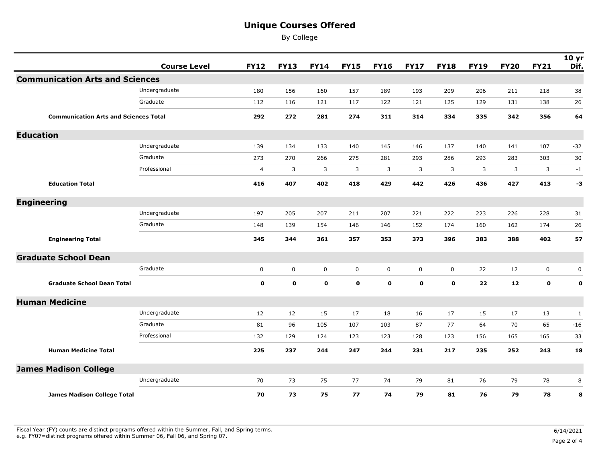By College

|                                        | <b>Course Level</b>                          | <b>FY12</b>    | <b>FY13</b> | <b>FY14</b> | <b>FY15</b> | <b>FY16</b> | <b>FY17</b> | <b>FY18</b> | <b>FY19</b> | <b>FY20</b> | <b>FY21</b> | 10 <sub>yr</sub><br>Dif. |
|----------------------------------------|----------------------------------------------|----------------|-------------|-------------|-------------|-------------|-------------|-------------|-------------|-------------|-------------|--------------------------|
| <b>Communication Arts and Sciences</b> |                                              |                |             |             |             |             |             |             |             |             |             |                          |
|                                        | Undergraduate                                | 180            | 156         | 160         | 157         | 189         | 193         | 209         | 206         | 211         | 218         | 38                       |
|                                        | Graduate                                     | 112            | 116         | 121         | 117         | 122         | 121         | 125         | 129         | 131         | 138         | 26                       |
|                                        | <b>Communication Arts and Sciences Total</b> |                | 272         | 281         | 274         | 311         | 314         | 334         | 335         | 342         | 356         | 64                       |
| <b>Education</b>                       |                                              |                |             |             |             |             |             |             |             |             |             |                          |
|                                        | Undergraduate                                | 139            | 134         | 133         | 140         | 145         | 146         | 137         | 140         | 141         | 107         | $-32$                    |
|                                        | Graduate                                     | 273            | 270         | 266         | 275         | 281         | 293         | 286         | 293         | 283         | 303         | 30                       |
|                                        | Professional                                 | $\overline{4}$ | 3           | 3           | 3           | 3           | 3           | 3           | 3           | 3           | 3           | $-1$                     |
| <b>Education Total</b>                 |                                              | 416            | 407         | 402         | 418         | 429         | 442         | 426         | 436         | 427         | 413         | -3                       |
| <b>Engineering</b>                     |                                              |                |             |             |             |             |             |             |             |             |             |                          |
|                                        | Undergraduate                                | 197            | 205         | 207         | 211         | 207         | 221         | 222         | 223         | 226         | 228         | 31                       |
|                                        | Graduate                                     | 148            | 139         | 154         | 146         | 146         | 152         | 174         | 160         | 162         | 174         | 26                       |
| <b>Engineering Total</b>               |                                              | 345            | 344         | 361         | 357         | 353         | 373         | 396         | 383         | 388         | 402         | 57                       |
| <b>Graduate School Dean</b>            |                                              |                |             |             |             |             |             |             |             |             |             |                          |
|                                        | Graduate                                     | $\mathbf 0$    | $\mathsf 0$ | $\mathbf 0$ | $\mathbf 0$ | $\mathbf 0$ | $\mathbf 0$ | $\mathbf 0$ | 22          | 12          | $\mathbf 0$ | 0                        |
| <b>Graduate School Dean Total</b>      |                                              | $\mathbf 0$    | $\mathbf 0$ | $\mathbf 0$ | $\mathbf 0$ | $\mathbf 0$ | $\mathbf 0$ | $\mathbf 0$ | 22          | 12          | $\mathbf 0$ | $\mathbf 0$              |
| <b>Human Medicine</b>                  |                                              |                |             |             |             |             |             |             |             |             |             |                          |
|                                        | Undergraduate                                | 12             | 12          | 15          | 17          | 18          | 16          | 17          | 15          | 17          | 13          | $\mathbf{1}$             |
|                                        | Graduate                                     | 81             | 96          | 105         | 107         | 103         | 87          | 77          | 64          | 70          | 65          | $-16$                    |
|                                        | Professional                                 | 132            | 129         | 124         | 123         | 123         | 128         | 123         | 156         | 165         | 165         | 33                       |
| <b>Human Medicine Total</b>            |                                              | 225            | 237         | 244         | 247         | 244         | 231         | 217         | 235         | 252         | 243         | 18                       |
| <b>James Madison College</b>           |                                              |                |             |             |             |             |             |             |             |             |             |                          |
|                                        | Undergraduate                                | 70             | 73          | 75          | 77          | 74          | 79          | 81          | 76          | 79          | 78          | 8                        |
| <b>James Madison College Total</b>     |                                              | 70             | 73          | 75          | 77          | 74          | 79          | 81          | 76          | 79          | 78          | 8                        |

Fiscal Year (FY) counts are distinct programs offered within the Summer, Fall, and Spring terms.<br>e.g. FY07=distinct programs offered within Summer 06, Fall 06, and Spring 07. e.g. FY07=distinct programs offered within Summer 06, Fall 06, and Spring 07. Page 2 of 4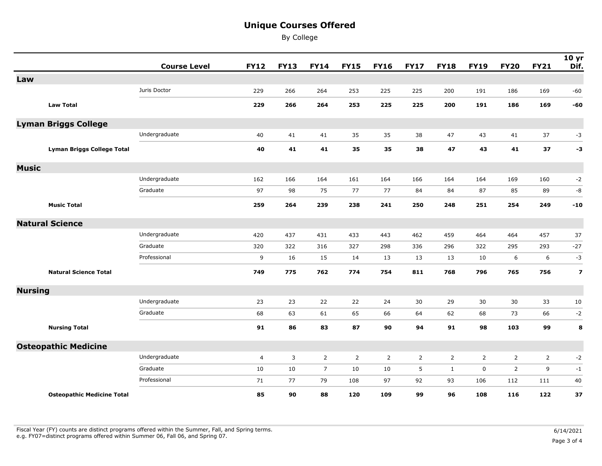By College

|                        |                                   | <b>Course Level</b> | <b>FY12</b>    | <b>FY13</b> | <b>FY14</b>    | <b>FY15</b>    | <b>FY16</b>    | <b>FY17</b>    | <b>FY18</b>  | <b>FY19</b>    | <b>FY20</b>    | <b>FY21</b>    | 10 <sub>yr</sub><br>Dif. |
|------------------------|-----------------------------------|---------------------|----------------|-------------|----------------|----------------|----------------|----------------|--------------|----------------|----------------|----------------|--------------------------|
| Law                    |                                   |                     |                |             |                |                |                |                |              |                |                |                |                          |
|                        |                                   | Juris Doctor        | 229            | 266         | 264            | 253            | 225            | 225            | 200          | 191            | 186            | 169            | $-60$                    |
|                        | <b>Law Total</b>                  |                     | 229            | 266         | 264            | 253            | 225            | 225            | 200          | 191            | 186            | 169            | -60                      |
|                        | <b>Lyman Briggs College</b>       |                     |                |             |                |                |                |                |              |                |                |                |                          |
|                        |                                   | Undergraduate       | 40             | 41          | 41             | 35             | 35             | 38             | 47           | 43             | 41             | 37             | $-3$                     |
|                        | <b>Lyman Briggs College Total</b> |                     | 40             | 41          | 41             | 35             | 35             | 38             | 47           | 43             | 41             | 37             | $-3$                     |
| <b>Music</b>           |                                   |                     |                |             |                |                |                |                |              |                |                |                |                          |
|                        |                                   | Undergraduate       | 162            | 166         | 164            | 161            | 164            | 166            | 164          | 164            | 169            | 160            | $-2$                     |
|                        |                                   | Graduate            | 97             | 98          | 75             | 77             | 77             | 84             | 84           | 87             | 85             | 89             | -8                       |
|                        | <b>Music Total</b>                |                     | 259            | 264         | 239            | 238            | 241            | 250            | 248          | 251            | 254            | 249            | $-10$                    |
| <b>Natural Science</b> |                                   |                     |                |             |                |                |                |                |              |                |                |                |                          |
|                        |                                   | Undergraduate       | 420            | 437         | 431            | 433            | 443            | 462            | 459          | 464            | 464            | 457            | 37                       |
|                        |                                   | Graduate            | 320            | 322         | 316            | 327            | 298            | 336            | 296          | 322            | 295            | 293            | $-27$                    |
|                        |                                   | Professional        | 9              | 16          | 15             | 14             | 13             | 13             | 13           | 10             | 6              | 6              | $-3$                     |
|                        | <b>Natural Science Total</b>      |                     | 749            | 775         | 762            | 774            | 754            | 811            | 768          | 796            | 765            | 756            | $\overline{\mathbf{z}}$  |
| <b>Nursing</b>         |                                   |                     |                |             |                |                |                |                |              |                |                |                |                          |
|                        |                                   | Undergraduate       | 23             | 23          | 22             | 22             | 24             | 30             | 29           | 30             | 30             | 33             | 10                       |
|                        |                                   | Graduate            | 68             | 63          | 61             | 65             | 66             | 64             | 62           | 68             | 73             | 66             | $-2$                     |
|                        | <b>Nursing Total</b>              |                     | 91             | 86          | 83             | 87             | 90             | 94             | 91           | 98             | 103            | 99             | 8                        |
|                        | <b>Osteopathic Medicine</b>       |                     |                |             |                |                |                |                |              |                |                |                |                          |
|                        |                                   | Undergraduate       | $\overline{4}$ | 3           | $\overline{2}$ | $\overline{2}$ | $\overline{2}$ | $\overline{2}$ | 2            | $\overline{2}$ | $\overline{2}$ | $\overline{2}$ | $-2$                     |
|                        |                                   | Graduate            | 10             | 10          | $\overline{7}$ | 10             | 10             | 5              | $\mathbf{1}$ | $\mathbf 0$    | $\overline{2}$ | 9              | $-1$                     |
|                        |                                   | Professional        | 71             | 77          | 79             | 108            | 97             | 92             | 93           | 106            | 112            | 111            | 40                       |
|                        | <b>Osteopathic Medicine Total</b> |                     | 85             | 90          | 88             | 120            | 109            | 99             | 96           | 108            | 116            | 122            | 37                       |

Fiscal Year (FY) counts are distinct programs offered within the Summer, Fall, and Spring terms.<br>e.g. FY07=distinct programs offered within Summer 06, Fall 06, and Spring 07. e.g. FY07=distinct programs offered within Summer 06, Fall 06, and Spring 07. Page 3 of 4